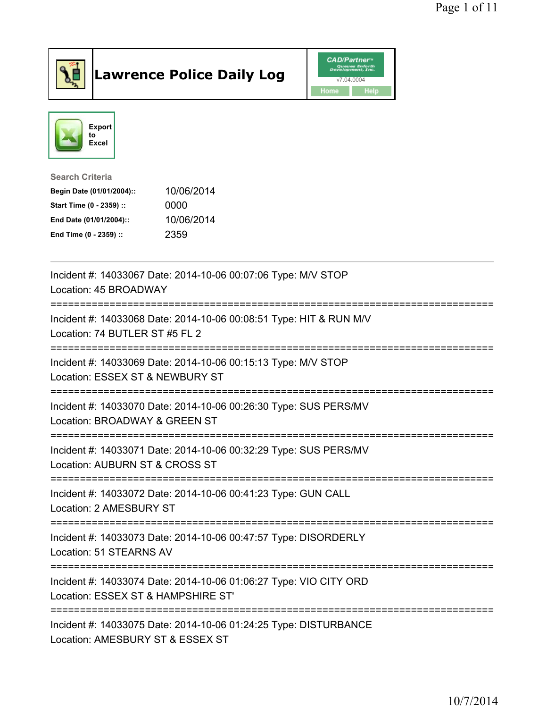

## Lawrence Police Daily Log **CAD/Partner**





Search Criteria Begin Date (01/01/2004):: 10/06/2014 Start Time (0 - 2359) :: 0000 End Date (01/01/2004):: 10/06/2014 End Time (0 - 2359) :: 2359

| Incident #: 14033067 Date: 2014-10-06 00:07:06 Type: M/V STOP<br>Location: 45 BROADWAY                                           |
|----------------------------------------------------------------------------------------------------------------------------------|
| Incident #: 14033068 Date: 2014-10-06 00:08:51 Type: HIT & RUN M/V<br>Location: 74 BUTLER ST #5 FL 2<br>======================== |
| Incident #: 14033069 Date: 2014-10-06 00:15:13 Type: M/V STOP<br>Location: ESSEX ST & NEWBURY ST                                 |
| Incident #: 14033070 Date: 2014-10-06 00:26:30 Type: SUS PERS/MV<br>Location: BROADWAY & GREEN ST                                |
| Incident #: 14033071 Date: 2014-10-06 00:32:29 Type: SUS PERS/MV<br>Location: AUBURN ST & CROSS ST                               |
| Incident #: 14033072 Date: 2014-10-06 00:41:23 Type: GUN CALL<br>Location: 2 AMESBURY ST                                         |
| Incident #: 14033073 Date: 2014-10-06 00:47:57 Type: DISORDERLY<br>Location: 51 STEARNS AV                                       |
| Incident #: 14033074 Date: 2014-10-06 01:06:27 Type: VIO CITY ORD<br>Location: ESSEX ST & HAMPSHIRE ST'                          |
| Incident #: 14033075 Date: 2014-10-06 01:24:25 Type: DISTURBANCE<br>Location: AMESBURY ST & ESSEX ST                             |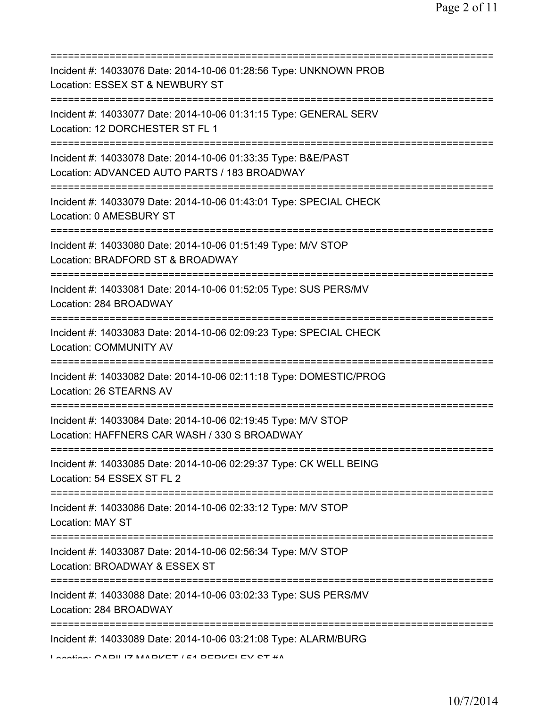| Incident #: 14033076 Date: 2014-10-06 01:28:56 Type: UNKNOWN PROB<br>Location: ESSEX ST & NEWBURY ST                                   |
|----------------------------------------------------------------------------------------------------------------------------------------|
| Incident #: 14033077 Date: 2014-10-06 01:31:15 Type: GENERAL SERV<br>Location: 12 DORCHESTER ST FL 1                                   |
| :====================<br>Incident #: 14033078 Date: 2014-10-06 01:33:35 Type: B&E/PAST<br>Location: ADVANCED AUTO PARTS / 183 BROADWAY |
| Incident #: 14033079 Date: 2014-10-06 01:43:01 Type: SPECIAL CHECK<br>Location: 0 AMESBURY ST                                          |
| Incident #: 14033080 Date: 2014-10-06 01:51:49 Type: M/V STOP<br>Location: BRADFORD ST & BROADWAY                                      |
| Incident #: 14033081 Date: 2014-10-06 01:52:05 Type: SUS PERS/MV<br>Location: 284 BROADWAY                                             |
| Incident #: 14033083 Date: 2014-10-06 02:09:23 Type: SPECIAL CHECK<br><b>Location: COMMUNITY AV</b>                                    |
| Incident #: 14033082 Date: 2014-10-06 02:11:18 Type: DOMESTIC/PROG<br>Location: 26 STEARNS AV                                          |
| Incident #: 14033084 Date: 2014-10-06 02:19:45 Type: M/V STOP<br>Location: HAFFNERS CAR WASH / 330 S BROADWAY                          |
| Incident #: 14033085 Date: 2014-10-06 02:29:37 Type: CK WELL BEING<br>Location: 54 ESSEX ST FL 2                                       |
| Incident #: 14033086 Date: 2014-10-06 02:33:12 Type: M/V STOP<br><b>Location: MAY ST</b>                                               |
| Incident #: 14033087 Date: 2014-10-06 02:56:34 Type: M/V STOP<br>Location: BROADWAY & ESSEX ST                                         |
| Incident #: 14033088 Date: 2014-10-06 03:02:33 Type: SUS PERS/MV<br>Location: 284 BROADWAY                                             |
| Incident #: 14033089 Date: 2014-10-06 03:21:08 Type: ALARM/BURG<br>$L$ section: $CADII$ IZ MADIZET $/54$ DEDIZELEV CT $H\Lambda$       |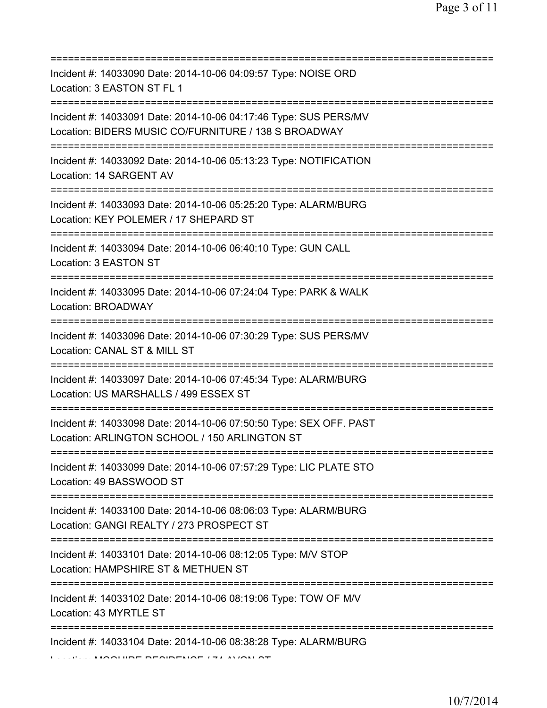| Incident #: 14033090 Date: 2014-10-06 04:09:57 Type: NOISE ORD<br>Location: 3 EASTON ST FL 1                                |
|-----------------------------------------------------------------------------------------------------------------------------|
| Incident #: 14033091 Date: 2014-10-06 04:17:46 Type: SUS PERS/MV<br>Location: BIDERS MUSIC CO/FURNITURE / 138 S BROADWAY    |
| Incident #: 14033092 Date: 2014-10-06 05:13:23 Type: NOTIFICATION<br>Location: 14 SARGENT AV                                |
| Incident #: 14033093 Date: 2014-10-06 05:25:20 Type: ALARM/BURG<br>Location: KEY POLEMER / 17 SHEPARD ST                    |
| Incident #: 14033094 Date: 2014-10-06 06:40:10 Type: GUN CALL<br>Location: 3 EASTON ST                                      |
| Incident #: 14033095 Date: 2014-10-06 07:24:04 Type: PARK & WALK<br>Location: BROADWAY<br>:================================ |
| Incident #: 14033096 Date: 2014-10-06 07:30:29 Type: SUS PERS/MV<br>Location: CANAL ST & MILL ST                            |
| Incident #: 14033097 Date: 2014-10-06 07:45:34 Type: ALARM/BURG<br>Location: US MARSHALLS / 499 ESSEX ST                    |
| Incident #: 14033098 Date: 2014-10-06 07:50:50 Type: SEX OFF. PAST<br>Location: ARLINGTON SCHOOL / 150 ARLINGTON ST         |
| Incident #: 14033099 Date: 2014-10-06 07:57:29 Type: LIC PLATE STO<br>Location: 49 BASSWOOD ST                              |
| Incident #: 14033100 Date: 2014-10-06 08:06:03 Type: ALARM/BURG<br>Location: GANGI REALTY / 273 PROSPECT ST                 |
| Incident #: 14033101 Date: 2014-10-06 08:12:05 Type: M/V STOP<br>Location: HAMPSHIRE ST & METHUEN ST                        |
| =========================<br>Incident #: 14033102 Date: 2014-10-06 08:19:06 Type: TOW OF M/V<br>Location: 43 MYRTLE ST      |
| ========================<br>Incident #: 14033104 Date: 2014-10-06 08:38:28 Type: ALARM/BURG                                 |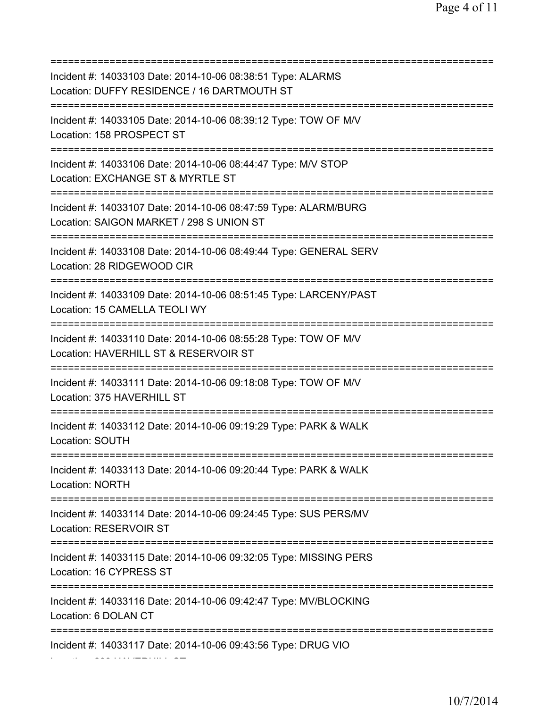=========================================================================== Incident #: 14033103 Date: 2014-10-06 08:38:51 Type: ALARMS Location: DUFFY RESIDENCE / 16 DARTMOUTH ST =========================================================================== Incident #: 14033105 Date: 2014-10-06 08:39:12 Type: TOW OF M/V Location: 158 PROSPECT ST =========================================================================== Incident #: 14033106 Date: 2014-10-06 08:44:47 Type: M/V STOP Location: EXCHANGE ST & MYRTLE ST =========================================================================== Incident #: 14033107 Date: 2014-10-06 08:47:59 Type: ALARM/BURG Location: SAIGON MARKET / 298 S UNION ST =========================================================================== Incident #: 14033108 Date: 2014-10-06 08:49:44 Type: GENERAL SERV Location: 28 RIDGEWOOD CIR =========================================================================== Incident #: 14033109 Date: 2014-10-06 08:51:45 Type: LARCENY/PAST Location: 15 CAMELLA TEOLI WY =========================================================================== Incident #: 14033110 Date: 2014-10-06 08:55:28 Type: TOW OF M/V Location: HAVERHILL ST & RESERVOIR ST =========================================================================== Incident #: 14033111 Date: 2014-10-06 09:18:08 Type: TOW OF M/V Location: 375 HAVERHILL ST =========================================================================== Incident #: 14033112 Date: 2014-10-06 09:19:29 Type: PARK & WALK Location: SOUTH =========================================================================== Incident #: 14033113 Date: 2014-10-06 09:20:44 Type: PARK & WALK Location: NORTH =========================================================================== Incident #: 14033114 Date: 2014-10-06 09:24:45 Type: SUS PERS/MV Location: RESERVOIR ST =========================================================================== Incident #: 14033115 Date: 2014-10-06 09:32:05 Type: MISSING PERS Location: 16 CYPRESS ST =========================================================================== Incident #: 14033116 Date: 2014-10-06 09:42:47 Type: MV/BLOCKING Location: 6 DOLAN CT =========================================================================== Incident #: 14033117 Date: 2014-10-06 09:43:56 Type: DRUG VIO Location: 233 HAVERHILL ST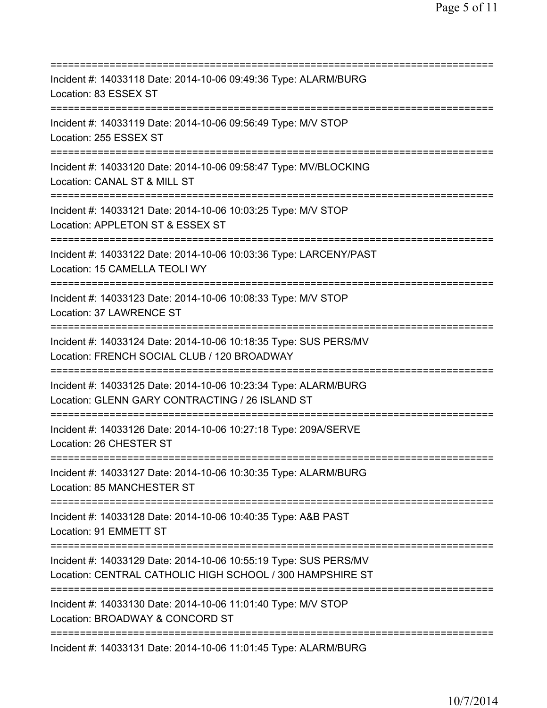| Incident #: 14033118 Date: 2014-10-06 09:49:36 Type: ALARM/BURG<br>Location: 83 ESSEX ST                                              |
|---------------------------------------------------------------------------------------------------------------------------------------|
| Incident #: 14033119 Date: 2014-10-06 09:56:49 Type: M/V STOP<br>Location: 255 ESSEX ST                                               |
| Incident #: 14033120 Date: 2014-10-06 09:58:47 Type: MV/BLOCKING<br>Location: CANAL ST & MILL ST                                      |
| Incident #: 14033121 Date: 2014-10-06 10:03:25 Type: M/V STOP<br>Location: APPLETON ST & ESSEX ST                                     |
| Incident #: 14033122 Date: 2014-10-06 10:03:36 Type: LARCENY/PAST<br>Location: 15 CAMELLA TEOLI WY<br>:============================== |
| Incident #: 14033123 Date: 2014-10-06 10:08:33 Type: M/V STOP<br>Location: 37 LAWRENCE ST<br>.----------------------------------      |
| Incident #: 14033124 Date: 2014-10-06 10:18:35 Type: SUS PERS/MV<br>Location: FRENCH SOCIAL CLUB / 120 BROADWAY                       |
| Incident #: 14033125 Date: 2014-10-06 10:23:34 Type: ALARM/BURG<br>Location: GLENN GARY CONTRACTING / 26 ISLAND ST                    |
| Incident #: 14033126 Date: 2014-10-06 10:27:18 Type: 209A/SERVE<br>Location: 26 CHESTER ST                                            |
| Incident #: 14033127 Date: 2014-10-06 10:30:35 Type: ALARM/BURG<br>Location: 85 MANCHESTER ST                                         |
| Incident #: 14033128 Date: 2014-10-06 10:40:35 Type: A&B PAST<br>Location: 91 EMMETT ST                                               |
| Incident #: 14033129 Date: 2014-10-06 10:55:19 Type: SUS PERS/MV<br>Location: CENTRAL CATHOLIC HIGH SCHOOL / 300 HAMPSHIRE ST         |
| Incident #: 14033130 Date: 2014-10-06 11:01:40 Type: M/V STOP<br>Location: BROADWAY & CONCORD ST                                      |
| Incident #: 14033131 Date: 2014-10-06 11:01:45 Type: ALARM/BURG                                                                       |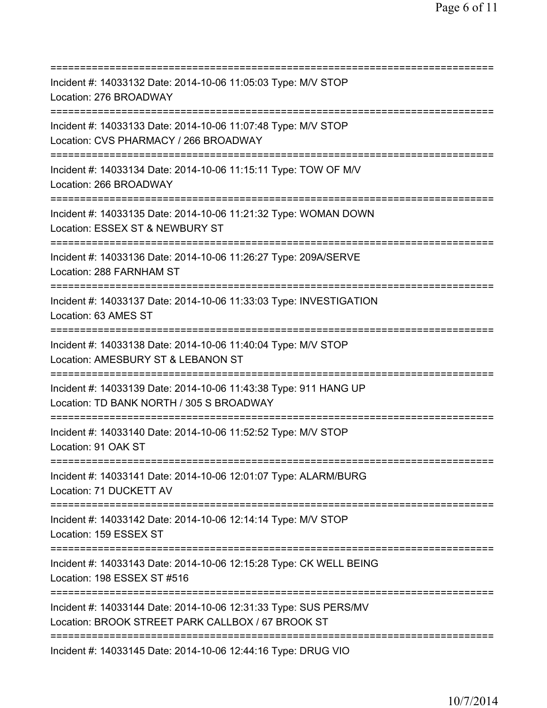| ==========================                                                                                                           |
|--------------------------------------------------------------------------------------------------------------------------------------|
| Incident #: 14033132 Date: 2014-10-06 11:05:03 Type: M/V STOP<br>Location: 276 BROADWAY                                              |
| Incident #: 14033133 Date: 2014-10-06 11:07:48 Type: M/V STOP<br>Location: CVS PHARMACY / 266 BROADWAY                               |
| Incident #: 14033134 Date: 2014-10-06 11:15:11 Type: TOW OF M/V<br>Location: 266 BROADWAY                                            |
| Incident #: 14033135 Date: 2014-10-06 11:21:32 Type: WOMAN DOWN<br>Location: ESSEX ST & NEWBURY ST<br>:====================          |
| Incident #: 14033136 Date: 2014-10-06 11:26:27 Type: 209A/SERVE<br>Location: 288 FARNHAM ST<br>===================================== |
| Incident #: 14033137 Date: 2014-10-06 11:33:03 Type: INVESTIGATION<br>Location: 63 AMES ST                                           |
| Incident #: 14033138 Date: 2014-10-06 11:40:04 Type: M/V STOP<br>Location: AMESBURY ST & LEBANON ST                                  |
| Incident #: 14033139 Date: 2014-10-06 11:43:38 Type: 911 HANG UP<br>Location: TD BANK NORTH / 305 S BROADWAY                         |
| Incident #: 14033140 Date: 2014-10-06 11:52:52 Type: M/V STOP<br>Location: 91 OAK ST                                                 |
| Incident #: 14033141 Date: 2014-10-06 12:01:07 Type: ALARM/BURG<br>Location: 71 DUCKETT AV                                           |
| Incident #: 14033142 Date: 2014-10-06 12:14:14 Type: M/V STOP<br>Location: 159 ESSEX ST                                              |
| Incident #: 14033143 Date: 2014-10-06 12:15:28 Type: CK WELL BEING<br>Location: 198 ESSEX ST #516                                    |
| Incident #: 14033144 Date: 2014-10-06 12:31:33 Type: SUS PERS/MV<br>Location: BROOK STREET PARK CALLBOX / 67 BROOK ST                |
| =========================<br>Incident #: 14033145 Date: 2014-10-06 12:44:16 Type: DRUG VIO                                           |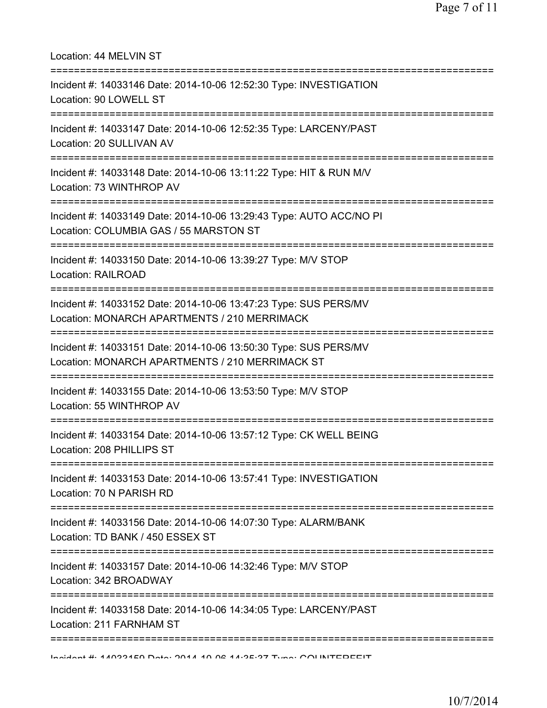| Location: 44 MELVIN ST<br>;===================================                                                                      |
|-------------------------------------------------------------------------------------------------------------------------------------|
| Incident #: 14033146 Date: 2014-10-06 12:52:30 Type: INVESTIGATION<br>Location: 90 LOWELL ST<br>;================================== |
| Incident #: 14033147 Date: 2014-10-06 12:52:35 Type: LARCENY/PAST<br>Location: 20 SULLIVAN AV<br>.--------------------------------- |
| Incident #: 14033148 Date: 2014-10-06 13:11:22 Type: HIT & RUN M/V<br>Location: 73 WINTHROP AV                                      |
| Incident #: 14033149 Date: 2014-10-06 13:29:43 Type: AUTO ACC/NO PI<br>Location: COLUMBIA GAS / 55 MARSTON ST                       |
| Incident #: 14033150 Date: 2014-10-06 13:39:27 Type: M/V STOP<br>Location: RAILROAD                                                 |
| Incident #: 14033152 Date: 2014-10-06 13:47:23 Type: SUS PERS/MV<br>Location: MONARCH APARTMENTS / 210 MERRIMACK                    |
| Incident #: 14033151 Date: 2014-10-06 13:50:30 Type: SUS PERS/MV<br>Location: MONARCH APARTMENTS / 210 MERRIMACK ST                 |
| Incident #: 14033155 Date: 2014-10-06 13:53:50 Type: M/V STOP<br>Location: 55 WINTHROP AV                                           |
| Incident #: 14033154 Date: 2014-10-06 13:57:12 Type: CK WELL BEING<br>Location: 208 PHILLIPS ST                                     |
| Incident #: 14033153 Date: 2014-10-06 13:57:41 Type: INVESTIGATION<br>Location: 70 N PARISH RD                                      |
| :=========================<br>Incident #: 14033156 Date: 2014-10-06 14:07:30 Type: ALARM/BANK<br>Location: TD BANK / 450 ESSEX ST   |
| Incident #: 14033157 Date: 2014-10-06 14:32:46 Type: M/V STOP<br>Location: 342 BROADWAY                                             |
| Incident #: 14033158 Date: 2014-10-06 14:34:05 Type: LARCENY/PAST<br>Location: 211 FARNHAM ST                                       |
| Incident #: 14022150 Dete: 2014 10 06 14:25:27 Tune: COUNTEDEEIT                                                                    |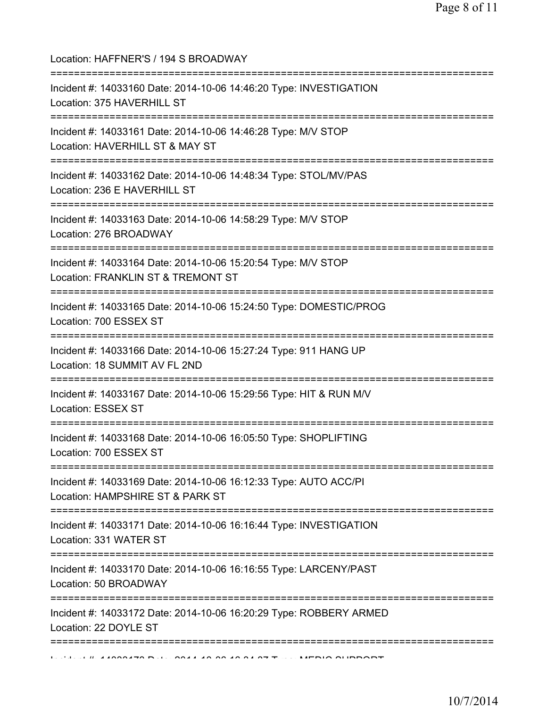| Location: HAFFNER'S / 194 S BROADWAY<br>==========================                                                      |
|-------------------------------------------------------------------------------------------------------------------------|
| Incident #: 14033160 Date: 2014-10-06 14:46:20 Type: INVESTIGATION<br>Location: 375 HAVERHILL ST                        |
| Incident #: 14033161 Date: 2014-10-06 14:46:28 Type: M/V STOP<br>Location: HAVERHILL ST & MAY ST                        |
| Incident #: 14033162 Date: 2014-10-06 14:48:34 Type: STOL/MV/PAS<br>Location: 236 E HAVERHILL ST                        |
| Incident #: 14033163 Date: 2014-10-06 14:58:29 Type: M/V STOP<br>Location: 276 BROADWAY                                 |
| Incident #: 14033164 Date: 2014-10-06 15:20:54 Type: M/V STOP<br>Location: FRANKLIN ST & TREMONT ST                     |
| Incident #: 14033165 Date: 2014-10-06 15:24:50 Type: DOMESTIC/PROG<br>Location: 700 ESSEX ST                            |
| Incident #: 14033166 Date: 2014-10-06 15:27:24 Type: 911 HANG UP<br>Location: 18 SUMMIT AV FL 2ND                       |
| Incident #: 14033167 Date: 2014-10-06 15:29:56 Type: HIT & RUN M/V<br>Location: ESSEX ST                                |
| Incident #: 14033168 Date: 2014-10-06 16:05:50 Type: SHOPLIFTING<br>Location: 700 ESSEX ST                              |
| Incident #: 14033169 Date: 2014-10-06 16:12:33 Type: AUTO ACC/PI<br>Location: HAMPSHIRE ST & PARK ST                    |
| Incident #: 14033171 Date: 2014-10-06 16:16:44 Type: INVESTIGATION<br>Location: 331 WATER ST<br>======================= |
| Incident #: 14033170 Date: 2014-10-06 16:16:55 Type: LARCENY/PAST<br>Location: 50 BROADWAY                              |
| Incident #: 14033172 Date: 2014-10-06 16:20:29 Type: ROBBERY ARMED<br>Location: 22 DOYLE ST                             |
|                                                                                                                         |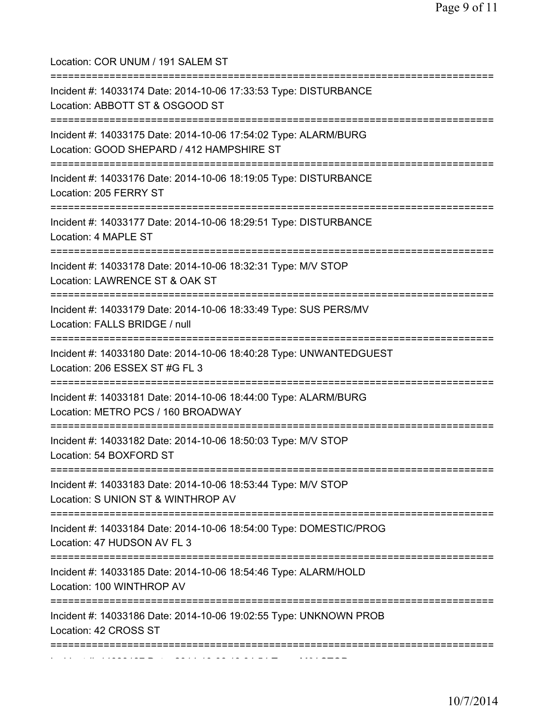| Location: COR UNUM / 191 SALEM ST                                                                                                                  |
|----------------------------------------------------------------------------------------------------------------------------------------------------|
| Incident #: 14033174 Date: 2014-10-06 17:33:53 Type: DISTURBANCE<br>Location: ABBOTT ST & OSGOOD ST                                                |
| Incident #: 14033175 Date: 2014-10-06 17:54:02 Type: ALARM/BURG<br>Location: GOOD SHEPARD / 412 HAMPSHIRE ST<br>================                   |
| Incident #: 14033176 Date: 2014-10-06 18:19:05 Type: DISTURBANCE<br>Location: 205 FERRY ST                                                         |
| Incident #: 14033177 Date: 2014-10-06 18:29:51 Type: DISTURBANCE<br>Location: 4 MAPLE ST                                                           |
| ============<br>Incident #: 14033178 Date: 2014-10-06 18:32:31 Type: M/V STOP<br>Location: LAWRENCE ST & OAK ST                                    |
| Incident #: 14033179 Date: 2014-10-06 18:33:49 Type: SUS PERS/MV<br>Location: FALLS BRIDGE / null                                                  |
| Incident #: 14033180 Date: 2014-10-06 18:40:28 Type: UNWANTEDGUEST<br>Location: 206 ESSEX ST #G FL 3<br>=========================                  |
| Incident #: 14033181 Date: 2014-10-06 18:44:00 Type: ALARM/BURG<br>Location: METRO PCS / 160 BROADWAY                                              |
| Incident #: 14033182 Date: 2014-10-06 18:50:03 Type: M/V STOP<br>Location: 54 BOXFORD ST                                                           |
| -=============================<br>Incident #: 14033183 Date: 2014-10-06 18:53:44 Type: M/V STOP<br>Location: S UNION ST & WINTHROP AV              |
| ;========================<br>:===============<br>Incident #: 14033184 Date: 2014-10-06 18:54:00 Type: DOMESTIC/PROG<br>Location: 47 HUDSON AV FL 3 |
| Incident #: 14033185 Date: 2014-10-06 18:54:46 Type: ALARM/HOLD<br>Location: 100 WINTHROP AV                                                       |
| Incident #: 14033186 Date: 2014-10-06 19:02:55 Type: UNKNOWN PROB<br>Location: 42 CROSS ST                                                         |
|                                                                                                                                                    |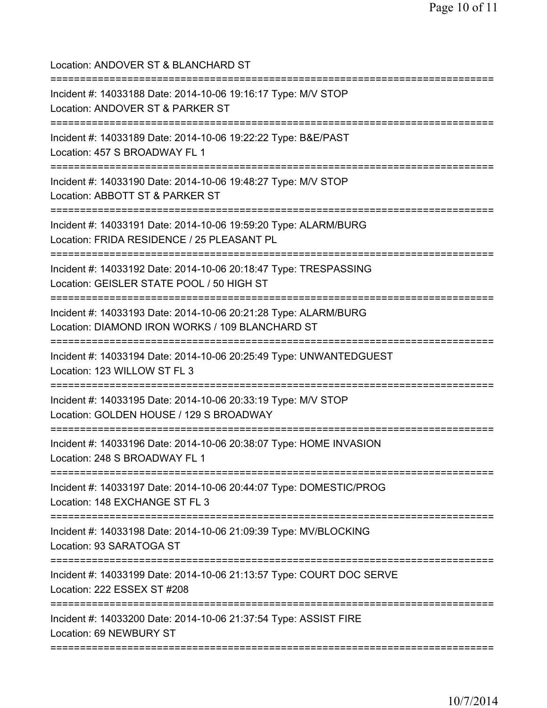Location: ANDOVER ST & BLANCHARD ST =========================================================================== Incident #: 14033188 Date: 2014-10-06 19:16:17 Type: M/V STOP Location: ANDOVER ST & PARKER ST =========================================================================== Incident #: 14033189 Date: 2014-10-06 19:22:22 Type: B&E/PAST Location: 457 S BROADWAY FL 1 =========================================================================== Incident #: 14033190 Date: 2014-10-06 19:48:27 Type: M/V STOP Location: ABBOTT ST & PARKER ST =========================================================================== Incident #: 14033191 Date: 2014-10-06 19:59:20 Type: ALARM/BURG Location: FRIDA RESIDENCE / 25 PLEASANT PL =========================================================================== Incident #: 14033192 Date: 2014-10-06 20:18:47 Type: TRESPASSING Location: GEISLER STATE POOL / 50 HIGH ST =========================================================================== Incident #: 14033193 Date: 2014-10-06 20:21:28 Type: ALARM/BURG Location: DIAMOND IRON WORKS / 109 BLANCHARD ST =========================================================================== Incident #: 14033194 Date: 2014-10-06 20:25:49 Type: UNWANTEDGUEST Location: 123 WILLOW ST FL 3 =========================================================================== Incident #: 14033195 Date: 2014-10-06 20:33:19 Type: M/V STOP Location: GOLDEN HOUSE / 129 S BROADWAY =========================================================================== Incident #: 14033196 Date: 2014-10-06 20:38:07 Type: HOME INVASION Location: 248 S BROADWAY FL 1 =========================================================================== Incident #: 14033197 Date: 2014-10-06 20:44:07 Type: DOMESTIC/PROG Location: 148 EXCHANGE ST FL 3 =========================================================================== Incident #: 14033198 Date: 2014-10-06 21:09:39 Type: MV/BLOCKING Location: 93 SARATOGA ST =========================================================================== Incident #: 14033199 Date: 2014-10-06 21:13:57 Type: COURT DOC SERVE Location: 222 ESSEX ST #208 =========================================================================== Incident #: 14033200 Date: 2014-10-06 21:37:54 Type: ASSIST FIRE Location: 69 NEWBURY ST ===========================================================================